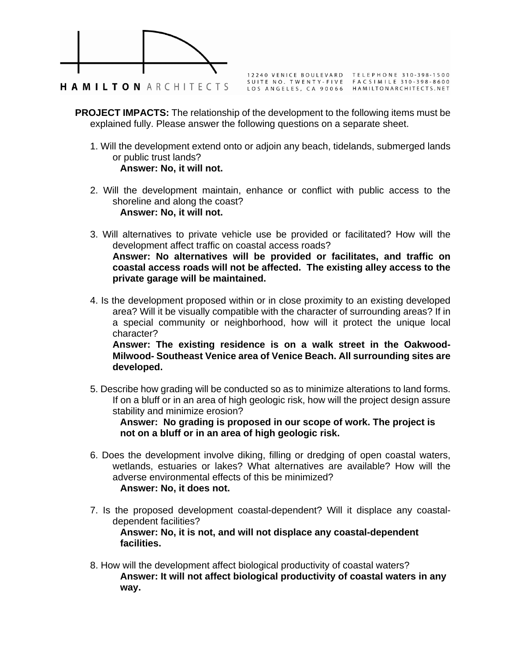

12240 VENICE BOULEVARD TELEPHONE 310-398-1500<br>SUITE NO. TWENTY-FIVE FACSIMILE 310-398-8600<br>LOS ANGELES, CA 90066 HAMILTONARCHITECTS.NET

- **PROJECT IMPACTS:** The relationship of the development to the following items must be explained fully. Please answer the following questions on a separate sheet.
	- 1. Will the development extend onto or adjoin any beach, tidelands, submerged lands or public trust lands? **Answer: No, it will not.**
	- 2. Will the development maintain, enhance or conflict with public access to the shoreline and along the coast? **Answer: No, it will not.**
	- 3. Will alternatives to private vehicle use be provided or facilitated? How will the development affect traffic on coastal access roads? **Answer: No alternatives will be provided or facilitates, and traffic on coastal access roads will not be affected. The existing alley access to the private garage will be maintained.**
	- 4. Is the development proposed within or in close proximity to an existing developed area? Will it be visually compatible with the character of surrounding areas? If in a special community or neighborhood, how will it protect the unique local character?

**Answer: The existing residence is on a walk street in the Oakwood-Milwood- Southeast Venice area of Venice Beach. All surrounding sites are developed.** 

5. Describe how grading will be conducted so as to minimize alterations to land forms. If on a bluff or in an area of high geologic risk, how will the project design assure stability and minimize erosion?

**Answer: No grading is proposed in our scope of work. The project is not on a bluff or in an area of high geologic risk.**

- 6. Does the development involve diking, filling or dredging of open coastal waters, wetlands, estuaries or lakes? What alternatives are available? How will the adverse environmental effects of this be minimized? **Answer: No, it does not.**
- 7. Is the proposed development coastal-dependent? Will it displace any coastaldependent facilities?

**Answer: No, it is not, and will not displace any coastal-dependent facilities.**

8. How will the development affect biological productivity of coastal waters? **Answer: It will not affect biological productivity of coastal waters in any way.**